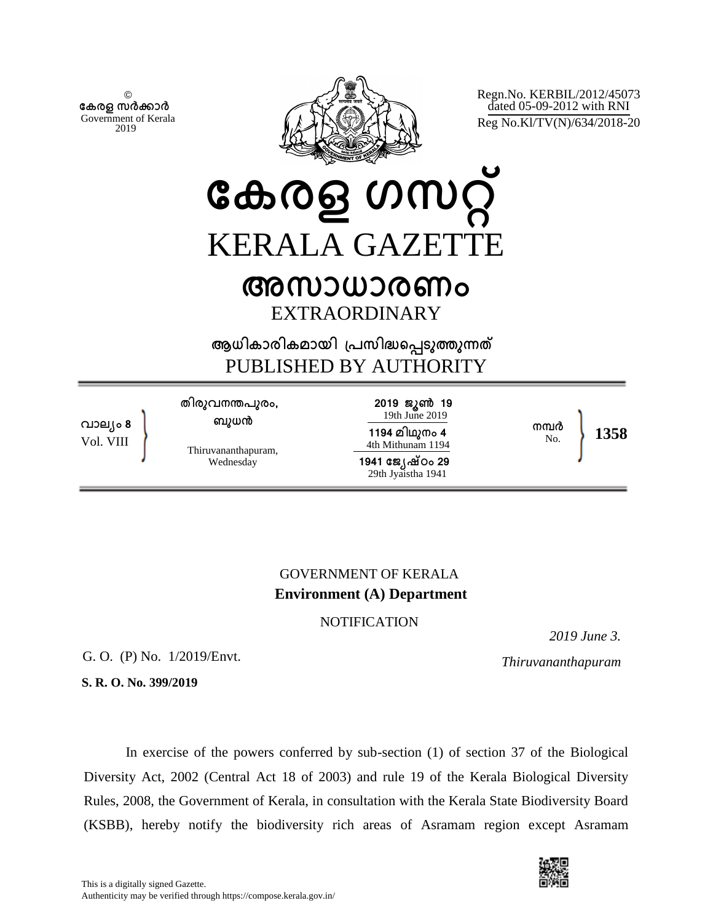© **േകരള സർകാർ** Government of Kerala 2019



Regn.No. KERBIL/2012/45073 dated 05-09-2012 with RNI Reg No.Kl/TV(N)/634/2018-20

**േകരള ഗസറ് KERALA GAZETT** 

# **അസാധാരണം** EXTRAORDINARY

**ആധികാരികമായി ്പസിദെപടുതുനത** PUBLISHED BY AUTHORITY

**വാല്ം 8** Vol. VIII **തിരുവനനപുരം, ബുധന** Thiruvananthapuram, Wednesday **2019 ജൂണ 19** 19th June 2019 **1194 മിഥുനം 4** 4th Mithunam 1194 **1941 േജ്ഷഠം 29** 29th Jyaistha 1941 **നമർ** No. **1358**

## GOVERNMENT OF KERALA **Environment (A) Department**

### **NOTIFICATION**

*2019 June 3.*

G. O. (P) No. 1/2019/Envt. *Thiruvananthapuram*

**S. R. O. No. 399/2019**

In exercise of the powers conferred by sub-section (1) of section 37 of the Biological Diversity Act, 2002 (Central Act 18 of 2003) and rule 19 of the Kerala Biological Diversity Rules, 2008, the Government of Kerala, in consultation with the Kerala State Biodiversity Board (KSBB), hereby notify the biodiversity rich areas of Asramam region except Asramam